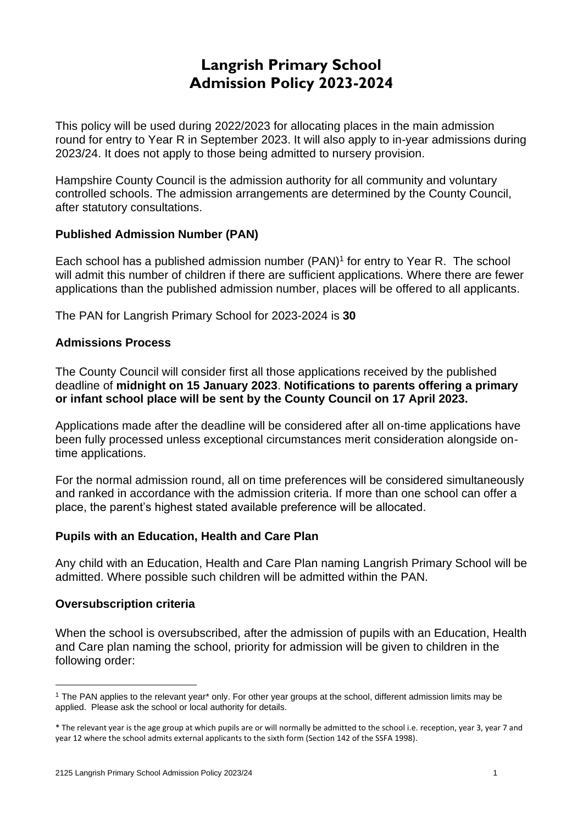# **Langrish Primary School Admission Policy 2023-2024**

This policy will be used during 2022/2023 for allocating places in the main admission round for entry to Year R in September 2023. It will also apply to in-year admissions during 2023/24. It does not apply to those being admitted to nursery provision.

Hampshire County Council is the admission authority for all community and voluntary controlled schools. The admission arrangements are determined by the County Council, after statutory consultations.

# **Published Admission Number (PAN)**

Each school has a published admission number (PAN) 1 for entry to Year R. The school will admit this number of children if there are sufficient applications. Where there are fewer applications than the published admission number, places will be offered to all applicants.

The PAN for Langrish Primary School for 2023-2024 is **30**

# **Admissions Process**

The County Council will consider first all those applications received by the published deadline of **midnight on 15 January 2023**. **Notifications to parents offering a primary or infant school place will be sent by the County Council on 17 April 2023.**

Applications made after the deadline will be considered after all on-time applications have been fully processed unless exceptional circumstances merit consideration alongside ontime applications.

For the normal admission round, all on time preferences will be considered simultaneously and ranked in accordance with the admission criteria. If more than one school can offer a place, the parent's highest stated available preference will be allocated.

# **Pupils with an Education, Health and Care Plan**

Any child with an Education, Health and Care Plan naming Langrish Primary School will be admitted. Where possible such children will be admitted within the PAN.

# **Oversubscription criteria**

When the school is oversubscribed, after the admission of pupils with an Education, Health and Care plan naming the school, priority for admission will be given to children in the following order:

<sup>1</sup> The PAN applies to the relevant year\* only. For other year groups at the school, different admission limits may be applied. Please ask the school or local authority for details.

<sup>\*</sup> The relevant year is the age group at which pupils are or will normally be admitted to the school i.e. reception, year 3, year 7 and year 12 where the school admits external applicants to the sixth form (Section 142 of the SSFA 1998).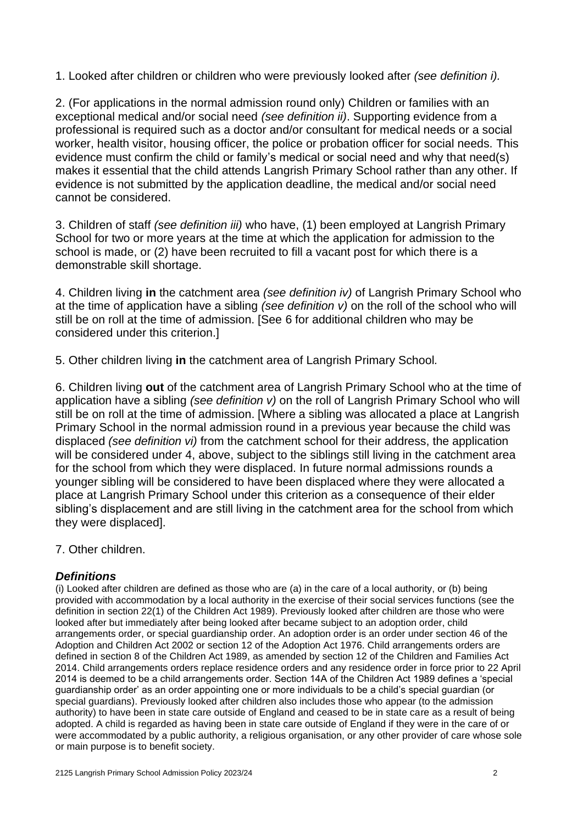1. Looked after children or children who were previously looked after *(see definition i).* 

2. (For applications in the normal admission round only) Children or families with an exceptional medical and/or social need *(see definition ii)*. Supporting evidence from a professional is required such as a doctor and/or consultant for medical needs or a social worker, health visitor, housing officer, the police or probation officer for social needs. This evidence must confirm the child or family's medical or social need and why that need(s) makes it essential that the child attends Langrish Primary School rather than any other. If evidence is not submitted by the application deadline, the medical and/or social need cannot be considered.

3. Children of staff *(see definition iii)* who have, (1) been employed at Langrish Primary School for two or more years at the time at which the application for admission to the school is made, or (2) have been recruited to fill a vacant post for which there is a demonstrable skill shortage.

4. Children living **in** the catchment area *(see definition iv)* of Langrish Primary School who at the time of application have a sibling *(see definition v)* on the roll of the school who will still be on roll at the time of admission. [See 6 for additional children who may be considered under this criterion.]

5. Other children living **in** the catchment area of Langrish Primary School*.*

6. Children living **out** of the catchment area of Langrish Primary School who at the time of application have a sibling *(see definition v)* on the roll of Langrish Primary School who will still be on roll at the time of admission. [Where a sibling was allocated a place at Langrish Primary School in the normal admission round in a previous year because the child was displaced *(see definition vi)* from the catchment school for their address, the application will be considered under 4, above, subject to the siblings still living in the catchment area for the school from which they were displaced. In future normal admissions rounds a younger sibling will be considered to have been displaced where they were allocated a place at Langrish Primary School under this criterion as a consequence of their elder sibling's displacement and are still living in the catchment area for the school from which they were displaced].

7. Other children.

# *Definitions*

(i) Looked after children are defined as those who are (a) in the care of a local authority, or (b) being provided with accommodation by a local authority in the exercise of their social services functions (see the definition in section 22(1) of the Children Act 1989). Previously looked after children are those who were looked after but immediately after being looked after became subject to an adoption order, child arrangements order, or special guardianship order. An adoption order is an order under section 46 of the Adoption and Children Act 2002 or section 12 of the Adoption Act 1976. Child arrangements orders are defined in section 8 of the Children Act 1989, as amended by section 12 of the Children and Families Act 2014. Child arrangements orders replace residence orders and any residence order in force prior to 22 April 2014 is deemed to be a child arrangements order. Section 14A of the Children Act 1989 defines a 'special guardianship order' as an order appointing one or more individuals to be a child's special guardian (or special guardians). Previously looked after children also includes those who appear (to the admission authority) to have been in state care outside of England and ceased to be in state care as a result of being adopted. A child is regarded as having been in state care outside of England if they were in the care of or were accommodated by a public authority, a religious organisation, or any other provider of care whose sole or main purpose is to benefit society.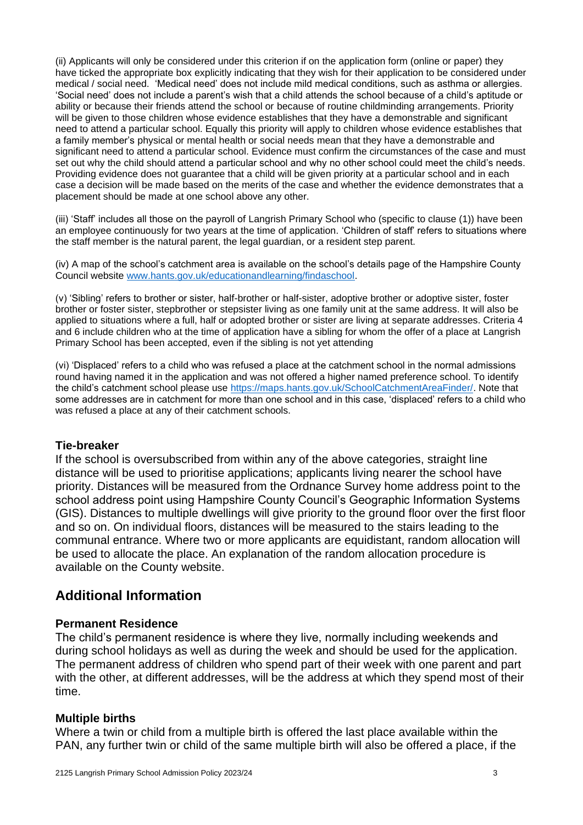(ii) Applicants will only be considered under this criterion if on the application form (online or paper) they have ticked the appropriate box explicitly indicating that they wish for their application to be considered under medical / social need. 'Medical need' does not include mild medical conditions, such as asthma or allergies. 'Social need' does not include a parent's wish that a child attends the school because of a child's aptitude or ability or because their friends attend the school or because of routine childminding arrangements. Priority will be given to those children whose evidence establishes that they have a demonstrable and significant need to attend a particular school. Equally this priority will apply to children whose evidence establishes that a family member's physical or mental health or social needs mean that they have a demonstrable and significant need to attend a particular school. Evidence must confirm the circumstances of the case and must set out why the child should attend a particular school and why no other school could meet the child's needs. Providing evidence does not guarantee that a child will be given priority at a particular school and in each case a decision will be made based on the merits of the case and whether the evidence demonstrates that a placement should be made at one school above any other.

(iii) 'Staff' includes all those on the payroll of Langrish Primary School who (specific to clause (1)) have been an employee continuously for two years at the time of application. 'Children of staff' refers to situations where the staff member is the natural parent, the legal guardian, or a resident step parent.

(iv) A map of the school's catchment area is available on the school's details page of the Hampshire County Council website [www.hants.gov.uk/educationandlearning/findaschool.](http://www.hants.gov.uk/educationandlearning/findaschool)

(v) 'Sibling' refers to brother or sister, half-brother or half-sister, adoptive brother or adoptive sister, foster brother or foster sister, stepbrother or stepsister living as one family unit at the same address. It will also be applied to situations where a full, half or adopted brother or sister are living at separate addresses. Criteria 4 and 6 include children who at the time of application have a sibling for whom the offer of a place at Langrish Primary School has been accepted, even if the sibling is not yet attending

(vi) 'Displaced' refers to a child who was refused a place at the catchment school in the normal admissions round having named it in the application and was not offered a higher named preference school. To identify the child's catchment school please use [https://maps.hants.gov.uk/SchoolCatchmentAreaFinder/.](https://maps.hants.gov.uk/SchoolCatchmentAreaFinder/) Note that some addresses are in catchment for more than one school and in this case, 'displaced' refers to a child who was refused a place at any of their catchment schools.

#### **Tie-breaker**

If the school is oversubscribed from within any of the above categories, straight line distance will be used to prioritise applications; applicants living nearer the school have priority. Distances will be measured from the Ordnance Survey home address point to the school address point using Hampshire County Council's Geographic Information Systems (GIS). Distances to multiple dwellings will give priority to the ground floor over the first floor and so on. On individual floors, distances will be measured to the stairs leading to the communal entrance. Where two or more applicants are equidistant, random allocation will be used to allocate the place. An explanation of the random allocation procedure is available on the County website.

# **Additional Information**

#### **Permanent Residence**

The child's permanent residence is where they live, normally including weekends and during school holidays as well as during the week and should be used for the application. The permanent address of children who spend part of their week with one parent and part with the other, at different addresses, will be the address at which they spend most of their time.

# **Multiple births**

Where a twin or child from a multiple birth is offered the last place available within the PAN, any further twin or child of the same multiple birth will also be offered a place, if the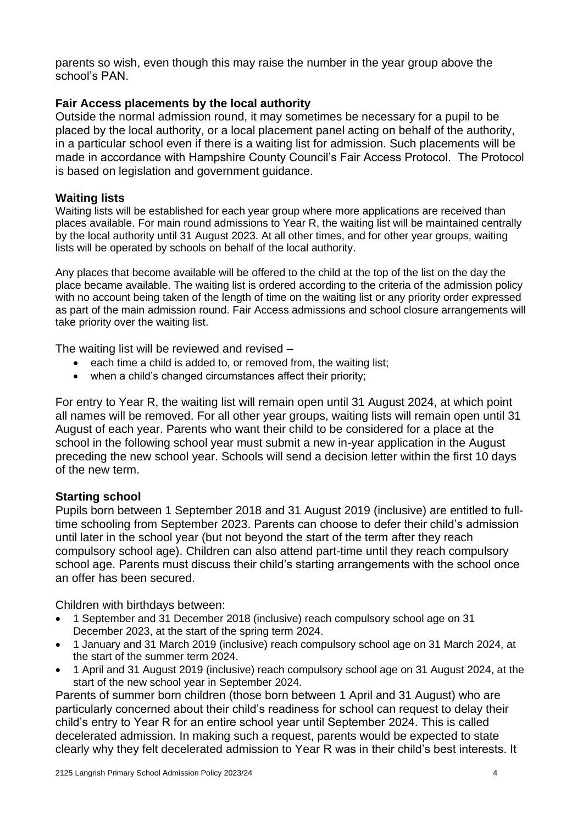parents so wish, even though this may raise the number in the year group above the school's PAN.

# **Fair Access placements by the local authority**

Outside the normal admission round, it may sometimes be necessary for a pupil to be placed by the local authority, or a local placement panel acting on behalf of the authority, in a particular school even if there is a waiting list for admission. Such placements will be made in accordance with Hampshire County Council's Fair Access Protocol. The Protocol is based on legislation and government guidance.

# **Waiting lists**

Waiting lists will be established for each year group where more applications are received than places available. For main round admissions to Year R, the waiting list will be maintained centrally by the local authority until 31 August 2023. At all other times, and for other year groups, waiting lists will be operated by schools on behalf of the local authority.

Any places that become available will be offered to the child at the top of the list on the day the place became available. The waiting list is ordered according to the criteria of the admission policy with no account being taken of the length of time on the waiting list or any priority order expressed as part of the main admission round. Fair Access admissions and school closure arrangements will take priority over the waiting list.

The waiting list will be reviewed and revised –

- each time a child is added to, or removed from, the waiting list;
- when a child's changed circumstances affect their priority;

For entry to Year R, the waiting list will remain open until 31 August 2024, at which point all names will be removed. For all other year groups, waiting lists will remain open until 31 August of each year. Parents who want their child to be considered for a place at the school in the following school year must submit a new in-year application in the August preceding the new school year. Schools will send a decision letter within the first 10 days of the new term.

# **Starting school**

Pupils born between 1 September 2018 and 31 August 2019 (inclusive) are entitled to fulltime schooling from September 2023. Parents can choose to defer their child's admission until later in the school year (but not beyond the start of the term after they reach compulsory school age). Children can also attend part-time until they reach compulsory school age. Parents must discuss their child's starting arrangements with the school once an offer has been secured.

Children with birthdays between:

- 1 September and 31 December 2018 (inclusive) reach compulsory school age on 31 December 2023, at the start of the spring term 2024.
- 1 January and 31 March 2019 (inclusive) reach compulsory school age on 31 March 2024, at the start of the summer term 2024.
- 1 April and 31 August 2019 (inclusive) reach compulsory school age on 31 August 2024, at the start of the new school year in September 2024.

Parents of summer born children (those born between 1 April and 31 August) who are particularly concerned about their child's readiness for school can request to delay their child's entry to Year R for an entire school year until September 2024. This is called decelerated admission. In making such a request, parents would be expected to state clearly why they felt decelerated admission to Year R was in their child's best interests. It